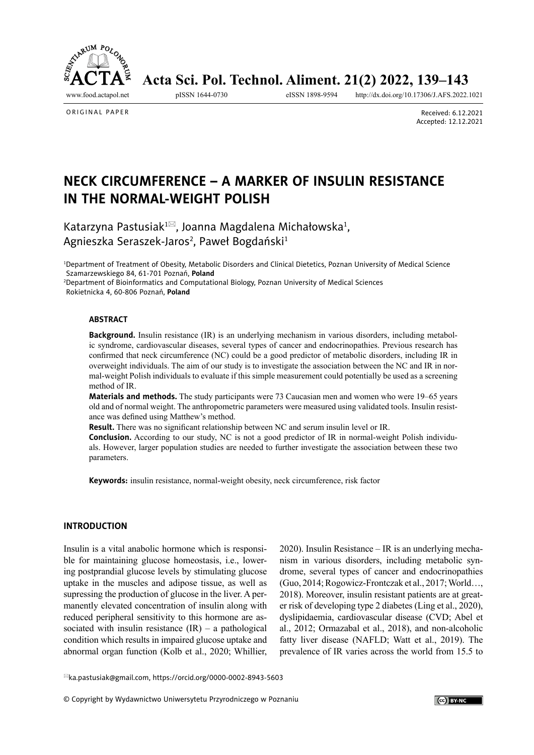<span id="page-0-0"></span>

Acta Sci. Pol. Technol. Aliment. 21(2) 2022, 139-143

<http://dx.doi.org/10.17306/J.AFS.2022.1021>

ORIGINAL PAPER

Received: 6.12.2021 Accepted: 12.12.2021

# **NECK CIRCUMFERENCE – A MARKER OF INSULIN RESISTANCE IN THE NORMAL-WEIGHT POLISH**

Katarzyna Pastusiak<sup>1⊠</sup>, Joanna Magdalena Michałowska<sup>1</sup>, Agnieszka Seraszek-Jaros<sup>2</sup>, Paweł Bogdański<sup>1</sup>

1 Department of Treatment of Obesity, Metabolic Disorders and Clinical Dietetics, Poznan University of Medical Science Szamarzewskiego 84, 61-701 Poznań, **Poland**

2 Department of Bioinformatics and Computational Biology, Poznan University of Medical Sciences Rokietnicka 4, 60-806 Poznań, **Poland**

#### **ABSTRACT**

**Background.** Insulin resistance (IR) is an underlying mechanism in various disorders, including metabolic syndrome, cardiovascular diseases, several types of cancer and endocrinopathies. Previous research has confirmed that neck circumference (NC) could be a good predictor of metabolic disorders, including IR in overweight individuals. The aim of our study is to investigate the association between the NC and IR in normal-weight Polish individuals to evaluate if this simple measurement could potentially be used as a screening method of IR.

**Materials and methods.** The study participants were 73 Caucasian men and women who were 19–65 years old and of normal weight. The anthropometric parameters were measured using validated tools. Insulin resistance was defined using Matthew's method.

**Result.** There was no significant relationship between NC and serum insulin level or IR.

**Conclusion.** According to our study, NC is not a good predictor of IR in normal-weight Polish individuals. However, larger population studies are needed to further investigate the association between these two parameters.

**Keywords:** insulin resistance, normal-weight obesity, neck circumference, risk factor

#### **INTRODUCTION**

Insulin is a vital anabolic hormone which is responsible for maintaining glucose homeostasis, i.e., lowering postprandial glucose levels by stimulating glucose uptake in the muscles and adipose tissue, as well as supressing the production of glucose in the liver. A permanently elevated concentration of insulin along with reduced peripheral sensitivity to this hormone are associated with insulin resistance  $(IR)$  – a pathological condition which results in impaired glucose uptake and abnormal organ function (Kolb et al., 2020; Whillier,

2020). Insulin Resistance – IR is an underlying mechanism in various disorders, including metabolic syndrome, several types of cancer and endocrinopathies (Guo, 2014; Rogowicz-Frontczak et al., 2017; World…, 2018). Moreover, insulin resistant patients are at greater risk of developing type 2 diabetes (Ling et al., 2020), dyslipidaemia, cardiovascular disease (CVD; Abel et al., 2012; Ormazabal et al., 2018), and non-alcoholic fatty liver disease (NAFLD; Watt et al., 2019). The prevalence of IR varies across the world from 15.5 to

[ka.pastusiak@gmail.com,](mailto:ka.pastusiak%40gmail.com?subject=)<https://orcid.org/0000-0002-8943-5603>

© Copyright by Wydawnictwo Uniwersytetu Przyrodniczego w Poznaniu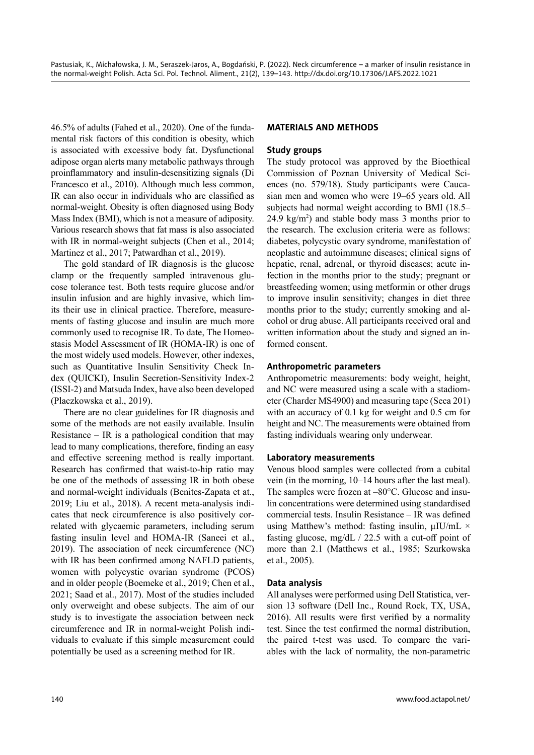46.5% of adults (Fahed et al., 2020). One of the fundamental risk factors of this condition is obesity, which is associated with excessive body fat. Dysfunctional adipose organ alerts many metabolic pathways through proinflammatory and insulin-desensitizing signals (Di Francesco et al., 2010). Although much less common, IR can also occur in individuals who are classified as normal-weight. Obesity is often diagnosed using Body Mass Index (BMI), which is not a measure of adiposity. Various research shows that fat mass is also associated with IR in normal-weight subjects (Chen et al., 2014; Martinez et al., 2017; Patwardhan et al., 2019).

The gold standard of IR diagnosis is the glucose clamp or the frequently sampled intravenous glucose tolerance test. Both tests require glucose and/or insulin infusion and are highly invasive, which limits their use in clinical practice. Therefore, measurements of fasting glucose and insulin are much more commonly used to recognise IR. To date, The Homeostasis Model Assessment of IR (HOMA-IR) is one of the most widely used models. However, other indexes, such as Quantitative Insulin Sensitivity Check Index (QUICKI), Insulin Secretion-Sensitivity Index-2 (ISSI-2) and Matsuda Index, have also been developed (Placzkowska et al., 2019).

There are no clear guidelines for IR diagnosis and some of the methods are not easily available. Insulin Resistance – IR is a pathological condition that may lead to many complications, therefore, finding an easy and effective screening method is really important. Research has confirmed that waist-to-hip ratio may be one of the methods of assessing IR in both obese and normal-weight individuals (Benites-Zapata et at., 2019; Liu et al., 2018). A recent meta-analysis indicates that neck circumference is also positively correlated with glycaemic parameters, including serum fasting insulin level and HOMA-IR (Saneei et al., 2019). The association of neck circumference (NC) with IR has been confirmed among NAFLD patients, women with polycystic ovarian syndrome (PCOS) and in older people (Boemeke et al., 2019; Chen et al., 2021; Saad et al., 2017). Most of the studies included only overweight and obese subjects. The aim of our study is to investigate the association between neck circumference and IR in normal-weight Polish individuals to evaluate if this simple measurement could potentially be used as a screening method for IR.

## **MATERIALS AND METHODS**

## **Study groups**

The study protocol was approved by the Bioethical Commission of Poznan University of Medical Sciences (no. 579/18). Study participants were Caucasian men and women who were 19–65 years old. All subjects had normal weight according to BMI (18.5–  $24.9 \text{ kg/m}^2$ ) and stable body mass 3 months prior to the research. The exclusion criteria were as follows: diabetes, polycystic ovary syndrome, manifestation of neoplastic and autoimmune diseases; clinical signs of hepatic, renal, adrenal, or thyroid diseases; acute infection in the months prior to the study; pregnant or breastfeeding women; using metformin or other drugs to improve insulin sensitivity; changes in diet three months prior to the study; currently smoking and alcohol or drug abuse. All participants received oral and written information about the study and signed an informed consent.

## **Anthropometric parameters**

Anthropometric measurements: body weight, height, and NC were measured using a scale with a stadiometer (Charder MS4900) and measuring tape (Seca 201) with an accuracy of 0.1 kg for weight and 0.5 cm for height and NC. The measurements were obtained from fasting individuals wearing only underwear.

## **Laboratory measurements**

Venous blood samples were collected from a cubital vein (in the morning, 10–14 hours after the last meal). The samples were frozen at –80°C. Glucose and insulin concentrations were determined using standardised commercial tests. Insulin Resistance – IR was defined using Matthew's method: fasting insulin,  $\mu$ IU/mL  $\times$ fasting glucose, mg/dL / 22.5 with a cut-off point of more than 2.1 (Matthews et al., 1985; Szurkowska et al., 2005).

## **Data analysis**

All analyses were performed using Dell Statistica, version 13 software (Dell Inc., Round Rock, TX, USA, 2016). All results were first verified by a normality test. Since the test confirmed the normal distribution, the paired t-test was used. To compare the variables with the lack of normality, the non-parametric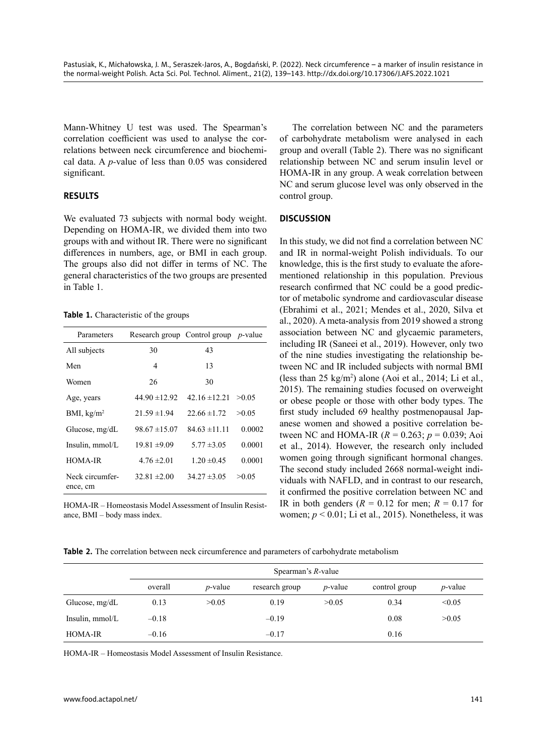Mann-Whitney U test was used. The Spearman's correlation coefficient was used to analyse the correlations between neck circumference and biochemical data. A *p-*value of less than 0.05 was considered significant.

## **RESULTS**

We evaluated 73 subjects with normal body weight. Depending on HOMA-IR, we divided them into two groups with and without IR. There were no significant differences in numbers, age, or BMI in each group. The groups also did not differ in terms of NC. The general characteristics of the two groups are presented in Table 1.

**Table 1.** Characteristic of the groups

| Parameters                  |                   | Research group Control group p-value |        |
|-----------------------------|-------------------|--------------------------------------|--------|
| All subjects                | 30                | 43                                   |        |
| Men                         | 4                 | 13                                   |        |
| Women                       | 26                | 30                                   |        |
| Age, years                  | $44.90 \pm 12.92$ | $42.16 \pm 12.21$                    | >0.05  |
| BMI, $\text{kg/m}^2$        | $21.59 \pm 1.94$  | $22.66 \pm 1.72$                     | >0.05  |
| Glucose, $mg/dL$            | $98.67 \pm 15.07$ | $84.63 \pm 11.11$                    | 0.0002 |
| Insulin, mmol/L             | $19.81 \pm 9.09$  | $5.77 \pm 3.05$                      | 0.0001 |
| HOMA-IR                     | $4.76 \pm 2.01$   | $1.20 \pm 0.45$                      | 0.0001 |
| Neck circumfer-<br>ence, cm | $32.81 \pm 2.00$  | $34.27 \pm 3.05$                     | >0.05  |

HOMA-IR – Homeostasis Model Assessment of Insulin Resistance, BMI – body mass index.

The correlation between NC and the parameters of carbohydrate metabolism were analysed in each group and overall (Table 2). There was no significant relationship between NC and serum insulin level or HOMA-IR in any group. A weak correlation between NC and serum glucose level was only observed in the control group.

## **DISCUSSION**

In this study, we did not find a correlation between NC and IR in normal-weight Polish individuals. To our knowledge, this is the first study to evaluate the aforementioned relationship in this population. Previous research confirmed that NC could be a good predictor of metabolic syndrome and cardiovascular disease (Ebrahimi et al., 2021; Mendes et al., 2020, Silva et al., 2020). A meta-analysis from 2019 showed a strong association between NC and glycaemic parameters, including IR (Saneei et al., 2019). However, only two of the nine studies investigating the relationship between NC and IR included subjects with normal BMI (less than 25 kg/m<sup>2</sup> ) alone (Aoi et al., 2014; Li et al., 2015). The remaining studies focused on overweight or obese people or those with other body types. The first study included 69 healthy postmenopausal Japanese women and showed a positive correlation between NC and HOMA-IR (*R* = 0.263; *p* = 0.039; Aoi et al., 2014). However, the research only included women going through significant hormonal changes. The second study included 2668 normal-weight individuals with NAFLD, and in contrast to our research, it confirmed the positive correlation between NC and IR in both genders  $(R = 0.12$  for men;  $R = 0.17$  for women; *p* < 0.01; Li et al., 2015). Nonetheless, it was

**Table 2.** The correlation between neck circumference and parameters of carbohydrate metabolism

|                  | Spearman's $R$ -value |                 |                |                 |               |                 |  |  |
|------------------|-----------------------|-----------------|----------------|-----------------|---------------|-----------------|--|--|
|                  | overall               | <i>p</i> -value | research group | <i>p</i> -value | control group | <i>p</i> -value |  |  |
| Glucose, $mg/dL$ | 0.13                  | >0.05           | 0.19           | >0.05           | 0.34          | < 0.05          |  |  |
| Insulin, mmol/L  | $-0.18$               |                 | $-0.19$        |                 | 0.08          | >0.05           |  |  |
| <b>HOMA-IR</b>   | $-0.16$               |                 | $-0.17$        |                 | 0.16          |                 |  |  |

HOMA-IR – Homeostasis Model Assessment of Insulin Resistance.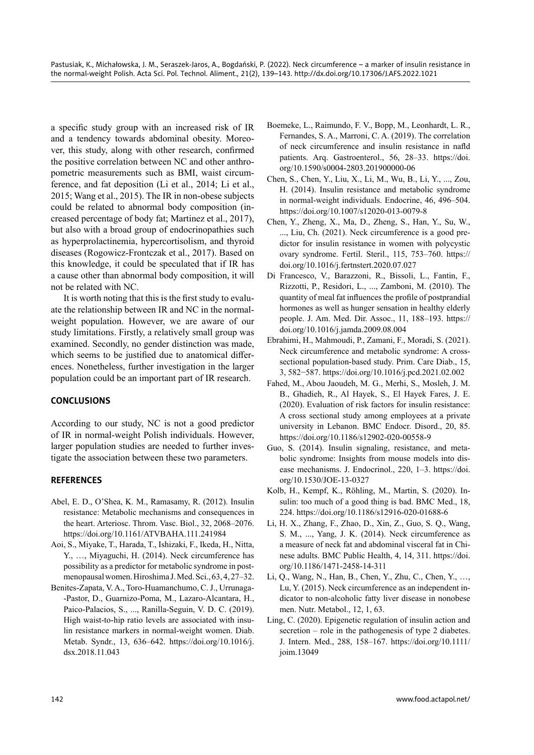a specific study group with an increased risk of IR and a tendency towards abdominal obesity. Moreover, this study, along with other research, confirmed the positive correlation between NC and other anthropometric measurements such as BMI, waist circumference, and fat deposition (Li et al., 2014; Li et al., 2015; Wang et al., 2015). The IR in non-obese subjects could be related to abnormal body composition (increased percentage of body fat; Martinez et al., 2017), but also with a broad group of endocrinopathies such as hyperprolactinemia, hypercortisolism, and thyroid diseases (Rogowicz-Frontczak et al., 2017). Based on this knowledge, it could be speculated that if IR has a cause other than abnormal body composition, it will not be related with NC.

It is worth noting that this is the first study to evaluate the relationship between IR and NC in the normalweight population. However, we are aware of our study limitations. Firstly, a relatively small group was examined. Secondly, no gender distinction was made, which seems to be justified due to anatomical differences. Nonetheless, further investigation in the larger population could be an important part of IR research.

# **CONCLUSIONS**

According to our study, NC is not a good predictor of IR in normal-weight Polish individuals. However, larger population studies are needed to further investigate the association between these two parameters.

# **REFERENCES**

- Abel, E. D., O'Shea, K. M., Ramasamy, R. (2012). Insulin resistance: Metabolic mechanisms and consequences in the heart. Arteriosc. Throm. Vasc. Biol., 32, 2068–2076. <https://doi.org/10.1161/ATVBAHA.111.241984>
- Aoi, S., Miyake, T., Harada, T., Ishizaki, F., Ikeda, H., Nitta, Y., …, Miyaguchi, H. (2014). Neck circumference has possibility as a predictor for metabolic syndrome in postmenopausal women. Hiroshima J. Med. Sci., 63, 4, 27–32.
- Benites-Zapata, V. A., Toro-Huamanchumo, C. J., Urrunaga- -Pastor, D., Guarnizo-Poma, M., Lazaro-Alcantara, H., Paico-Palacios, S., ..., Ranilla-Seguin, V. D. C. (2019). High waist-to-hip ratio levels are associated with insulin resistance markers in normal-weight women. Diab. Metab. Syndr., 13, 636–642. [https://doi.org/10.1016/j.](https://doi.org/10.1016/j.dsx.2018.11.043) [dsx.2018.11.043](https://doi.org/10.1016/j.dsx.2018.11.043)
- Boemeke, L., Raimundo, F. V., Bopp, M., Leonhardt, L. R., Fernandes, S. A., Marroni, C. A. (2019). The correlation of neck circumference and insulin resistance in nafld patients. Arq. Gastroenterol., 56, 28–33. [https://doi.](https://doi.org/10.1590/s0004-2803.201900000-06) [org/10.1590/s0004-2803.201900000-06](https://doi.org/10.1590/s0004-2803.201900000-06)
- Chen, S., Chen, Y., Liu, X., Li, M., Wu, B., Li, Y., ..., Zou, H. (2014). Insulin resistance and metabolic syndrome in normal-weight individuals. Endocrine, 46, 496–504. <https://doi.org/10.1007/s12020-013-0079-8>
- Chen, Y., Zheng, X., Ma, D., Zheng, S., Han, Y., Su, W., ..., Liu, Ch. (2021). Neck circumference is a good predictor for insulin resistance in women with polycystic ovary syndrome. Fertil. Steril., 115, 753–760. [https://](https://doi.org/10.1016/j.fertnstert.2020.07.027) [doi.org/10.1016/j.fertnstert.2020.07.027](https://doi.org/10.1016/j.fertnstert.2020.07.027)
- Di Francesco, V., Barazzoni, R., Bissoli, L., Fantin, F., Rizzotti, P., Residori, L., ..., Zamboni, M. (2010). The quantity of meal fat influences the profile of postprandial hormones as well as hunger sensation in healthy elderly people. J. Am. Med. Dir. Assoc., 11, 188–193. [https://](https://doi.org/10.1016/j.jamda.2009.08.004) [doi.org/10.1016/j.jamda.2009.08.004](https://doi.org/10.1016/j.jamda.2009.08.004)
- Ebrahimi, H., Mahmoudi, P., Zamani, F., Moradi, S. (2021). Neck circumference and metabolic syndrome: A crosssectional population-based study. Prim. Care Diab., 15, 3, 582−587. <https://doi.org/10.1016/j.pcd.2021.02.002>
- Fahed, M., Abou Jaoudeh, M. G., Merhi, S., Mosleh, J. M. B., Ghadieh, R., Al Hayek, S., El Hayek Fares, J. E. (2020). Evaluation of risk factors for insulin resistance: A cross sectional study among employees at a private university in Lebanon. BMC Endocr. Disord., 20, 85. <https://doi.org/10.1186/s12902-020-00558-9>
- Guo, S. (2014). Insulin signaling, resistance, and metabolic syndrome: Insights from mouse models into disease mechanisms. J. Endocrinol., 220, 1–3. [https://doi.](https://doi.org/10.1530/JOE-13-0327) [org/10.1530/JOE-13-0327](https://doi.org/10.1530/JOE-13-0327)
- Kolb, H., Kempf, K., Röhling, M., Martin, S. (2020). Insulin: too much of a good thing is bad. BMC Med., 18, 224. <https://doi.org/10.1186/s12916-020-01688-6>
- Li, H. X., Zhang, F., Zhao, D., Xin, Z., Guo, S. Q., Wang, S. M., ..., Yang, J. K. (2014). Neck circumference as a measure of neck fat and abdominal visceral fat in Chinese adults. BMC Public Health, 4, 14, 311. [https://doi.](https://doi.org/10.1186/1471-2458-14-311) [org/10.1186/1471-2458-14-311](https://doi.org/10.1186/1471-2458-14-311)
- Li, Q., Wang, N., Han, B., Chen, Y., Zhu, C., Chen, Y., …, Lu, Y. (2015). Neck circumference as an independent indicator to non-alcoholic fatty liver disease in nonobese men. Nutr. Metabol., 12, 1, 63.
- Ling, C. (2020). Epigenetic regulation of insulin action and secretion – role in the pathogenesis of type 2 diabetes. J. Intern. Med., 288, 158–167. [https://doi.org/10.1111/](https://doi.org/10.1111/joim.13049) [joim.13049](https://doi.org/10.1111/joim.13049)